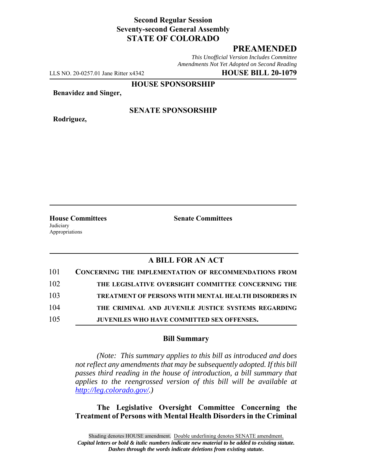## **Second Regular Session Seventy-second General Assembly STATE OF COLORADO**

# **PREAMENDED**

*This Unofficial Version Includes Committee Amendments Not Yet Adopted on Second Reading*

LLS NO. 20-0257.01 Jane Ritter x4342 **HOUSE BILL 20-1079**

**HOUSE SPONSORSHIP**

**Benavidez and Singer,**

**Rodriguez,**

#### **SENATE SPONSORSHIP**

Judiciary Appropriations

**House Committees Senate Committees**

### **A BILL FOR AN ACT**

| 101 | <b>CONCERNING THE IMPLEMENTATION OF RECOMMENDATIONS FROM</b> |
|-----|--------------------------------------------------------------|
| 102 | THE LEGISLATIVE OVERSIGHT COMMITTEE CONCERNING THE           |
| 103 | <b>TREATMENT OF PERSONS WITH MENTAL HEALTH DISORDERS IN</b>  |
| 104 | THE CRIMINAL AND JUVENILE JUSTICE SYSTEMS REGARDING          |
| 105 | JUVENILES WHO HAVE COMMITTED SEX OFFENSES.                   |

#### **Bill Summary**

*(Note: This summary applies to this bill as introduced and does not reflect any amendments that may be subsequently adopted. If this bill passes third reading in the house of introduction, a bill summary that applies to the reengrossed version of this bill will be available at http://leg.colorado.gov/.)*

**The Legislative Oversight Committee Concerning the Treatment of Persons with Mental Health Disorders in the Criminal**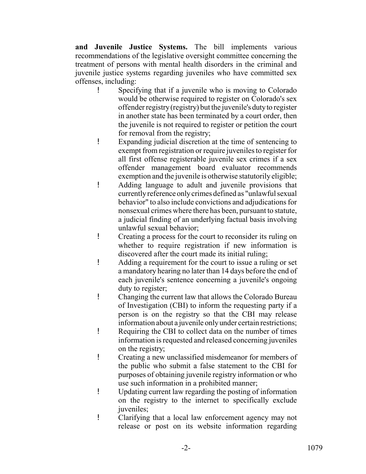**and Juvenile Justice Systems.** The bill implements various recommendations of the legislative oversight committee concerning the treatment of persons with mental health disorders in the criminal and juvenile justice systems regarding juveniles who have committed sex offenses, including:

- ! Specifying that if a juvenile who is moving to Colorado would be otherwise required to register on Colorado's sex offender registry (registry) but the juvenile's duty to register in another state has been terminated by a court order, then the juvenile is not required to register or petition the court for removal from the registry;
- ! Expanding judicial discretion at the time of sentencing to exempt from registration or require juveniles to register for all first offense registerable juvenile sex crimes if a sex offender management board evaluator recommends exemption and the juvenile is otherwise statutorily eligible;
- ! Adding language to adult and juvenile provisions that currently reference only crimes defined as "unlawful sexual behavior" to also include convictions and adjudications for nonsexual crimes where there has been, pursuant to statute, a judicial finding of an underlying factual basis involving unlawful sexual behavior;
- ! Creating a process for the court to reconsider its ruling on whether to require registration if new information is discovered after the court made its initial ruling;
- ! Adding a requirement for the court to issue a ruling or set a mandatory hearing no later than 14 days before the end of each juvenile's sentence concerning a juvenile's ongoing duty to register;
- ! Changing the current law that allows the Colorado Bureau of Investigation (CBI) to inform the requesting party if a person is on the registry so that the CBI may release information about a juvenile only under certain restrictions;
- ! Requiring the CBI to collect data on the number of times information is requested and released concerning juveniles on the registry;
- ! Creating a new unclassified misdemeanor for members of the public who submit a false statement to the CBI for purposes of obtaining juvenile registry information or who use such information in a prohibited manner;
- ! Updating current law regarding the posting of information on the registry to the internet to specifically exclude juveniles:
- ! Clarifying that a local law enforcement agency may not release or post on its website information regarding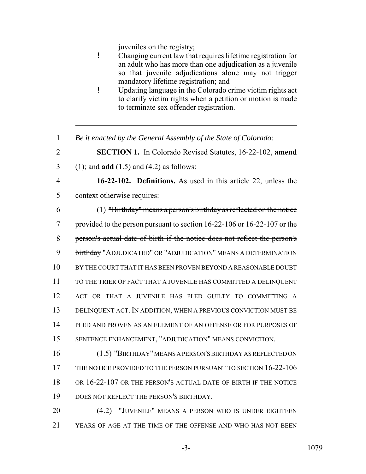juveniles on the registry;

- ! Changing current law that requires lifetime registration for an adult who has more than one adjudication as a juvenile so that juvenile adjudications alone may not trigger mandatory lifetime registration; and
- ! Updating language in the Colorado crime victim rights act to clarify victim rights when a petition or motion is made to terminate sex offender registration.
- *Be it enacted by the General Assembly of the State of Colorado:*
- **SECTION 1.** In Colorado Revised Statutes, 16-22-102, **amend**
- (1); and **add** (1.5) and (4.2) as follows:
- 

 **16-22-102. Definitions.** As used in this article 22, unless the context otherwise requires:

- (1) "Birthday" means a person's birthday as reflected on the notice provided to the person pursuant to section 16-22-106 or 16-22-107 or the person's actual date of birth if the notice does not reflect the person's birthday "ADJUDICATED" OR "ADJUDICATION" MEANS A DETERMINATION BY THE COURT THAT IT HAS BEEN PROVEN BEYOND A REASONABLE DOUBT TO THE TRIER OF FACT THAT A JUVENILE HAS COMMITTED A DELINQUENT ACT OR THAT A JUVENILE HAS PLED GUILTY TO COMMITTING A DELINQUENT ACT. IN ADDITION, WHEN A PREVIOUS CONVICTION MUST BE PLED AND PROVEN AS AN ELEMENT OF AN OFFENSE OR FOR PURPOSES OF SENTENCE ENHANCEMENT, "ADJUDICATION" MEANS CONVICTION.
- (1.5) "BIRTHDAY" MEANS A PERSON'S BIRTHDAY AS REFLECTED ON THE NOTICE PROVIDED TO THE PERSON PURSUANT TO SECTION 16-22-106 OR 16-22-107 OR THE PERSON'S ACTUAL DATE OF BIRTH IF THE NOTICE DOES NOT REFLECT THE PERSON'S BIRTHDAY.
- (4.2) "JUVENILE" MEANS A PERSON WHO IS UNDER EIGHTEEN YEARS OF AGE AT THE TIME OF THE OFFENSE AND WHO HAS NOT BEEN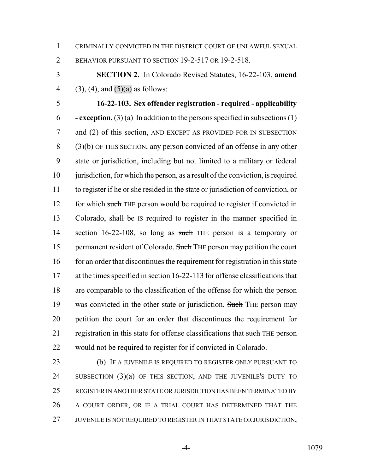CRIMINALLY CONVICTED IN THE DISTRICT COURT OF UNLAWFUL SEXUAL

BEHAVIOR PURSUANT TO SECTION 19-2-517 OR 19-2-518.

 **SECTION 2.** In Colorado Revised Statutes, 16-22-103, **amend** 4 (3), (4), and  $(5)(a)$  as follows:

 **16-22-103. Sex offender registration - required - applicability - exception.** (3) (a) In addition to the persons specified in subsections (1) and (2) of this section, AND EXCEPT AS PROVIDED FOR IN SUBSECTION (3)(b) OF THIS SECTION, any person convicted of an offense in any other state or jurisdiction, including but not limited to a military or federal 10 jurisdiction, for which the person, as a result of the conviction, is required to register if he or she resided in the state or jurisdiction of conviction, or 12 for which such THE person would be required to register if convicted in 13 Colorado, shall be IS required to register in the manner specified in 14 section 16-22-108, so long as such THE person is a temporary or 15 permanent resident of Colorado. Such THE person may petition the court 16 for an order that discontinues the requirement for registration in this state at the times specified in section 16-22-113 for offense classifications that are comparable to the classification of the offense for which the person 19 was convicted in the other state or jurisdiction. Such THE person may petition the court for an order that discontinues the requirement for 21 registration in this state for offense classifications that such THE person would not be required to register for if convicted in Colorado.

 (b) IF A JUVENILE IS REQUIRED TO REGISTER ONLY PURSUANT TO SUBSECTION (3)(a) OF THIS SECTION, AND THE JUVENILE'S DUTY TO REGISTER IN ANOTHER STATE OR JURISDICTION HAS BEEN TERMINATED BY A COURT ORDER, OR IF A TRIAL COURT HAS DETERMINED THAT THE 27 JUVENILE IS NOT REQUIRED TO REGISTER IN THAT STATE OR JURISDICTION,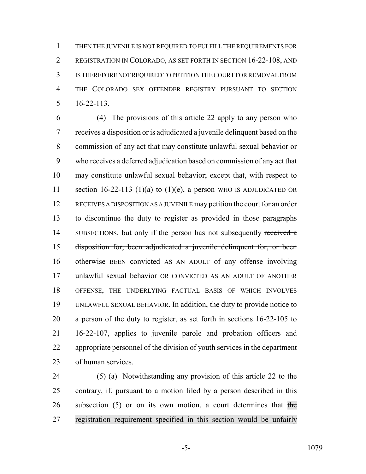THEN THE JUVENILE IS NOT REQUIRED TO FULFILL THE REQUIREMENTS FOR REGISTRATION IN COLORADO, AS SET FORTH IN SECTION 16-22-108, AND IS THEREFORE NOT REQUIRED TO PETITION THE COURT FOR REMOVAL FROM THE COLORADO SEX OFFENDER REGISTRY PURSUANT TO SECTION 16-22-113.

 (4) The provisions of this article 22 apply to any person who receives a disposition or is adjudicated a juvenile delinquent based on the commission of any act that may constitute unlawful sexual behavior or who receives a deferred adjudication based on commission of any act that may constitute unlawful sexual behavior; except that, with respect to 11 section 16-22-113 (1)(a) to (1)(e), a person WHO IS ADJUDICATED OR RECEIVES A DISPOSITION AS A JUVENILE may petition the court for an order 13 to discontinue the duty to register as provided in those paragraphs 14 SUBSECTIONS, but only if the person has not subsequently received a disposition for, been adjudicated a juvenile delinquent for, or been 16 otherwise BEEN convicted AS AN ADULT of any offense involving unlawful sexual behavior OR CONVICTED AS AN ADULT OF ANOTHER OFFENSE, THE UNDERLYING FACTUAL BASIS OF WHICH INVOLVES UNLAWFUL SEXUAL BEHAVIOR. In addition, the duty to provide notice to a person of the duty to register, as set forth in sections 16-22-105 to 16-22-107, applies to juvenile parole and probation officers and appropriate personnel of the division of youth services in the department of human services.

 (5) (a) Notwithstanding any provision of this article 22 to the contrary, if, pursuant to a motion filed by a person described in this 26 subsection (5) or on its own motion, a court determines that the registration requirement specified in this section would be unfairly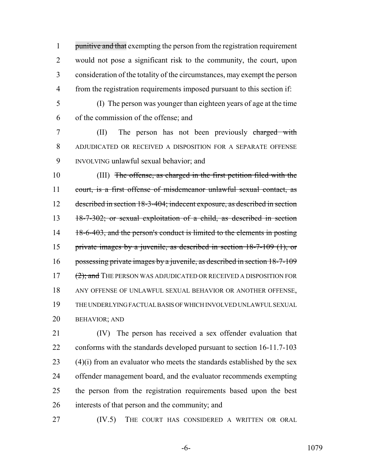1 punitive and that exempting the person from the registration requirement would not pose a significant risk to the community, the court, upon consideration of the totality of the circumstances, may exempt the person from the registration requirements imposed pursuant to this section if:

(I) The person was younger than eighteen years of age at the time

of the commission of the offense; and

 (II) The person has not been previously charged with ADJUDICATED OR RECEIVED A DISPOSITION FOR A SEPARATE OFFENSE INVOLVING unlawful sexual behavior; and

 (III) The offense, as charged in the first petition filed with the court, is a first offense of misdemeanor unlawful sexual contact, as described in section 18-3-404; indecent exposure, as described in section 18-7-302; or sexual exploitation of a child, as described in section 14 18-6-403, and the person's conduct is limited to the elements in posting private images by a juvenile, as described in section 18-7-109 (1), or possessing private images by a juvenile, as described in section 18-7-109 17 (2); and THE PERSON WAS ADJUDICATED OR RECEIVED A DISPOSITION FOR ANY OFFENSE OF UNLAWFUL SEXUAL BEHAVIOR OR ANOTHER OFFENSE, THE UNDERLYING FACTUAL BASIS OF WHICH INVOLVED UNLAWFUL SEXUAL BEHAVIOR; AND

 (IV) The person has received a sex offender evaluation that conforms with the standards developed pursuant to section 16-11.7-103 (4)(i) from an evaluator who meets the standards established by the sex offender management board, and the evaluator recommends exempting the person from the registration requirements based upon the best interests of that person and the community; and

(IV.5) THE COURT HAS CONSIDERED A WRITTEN OR ORAL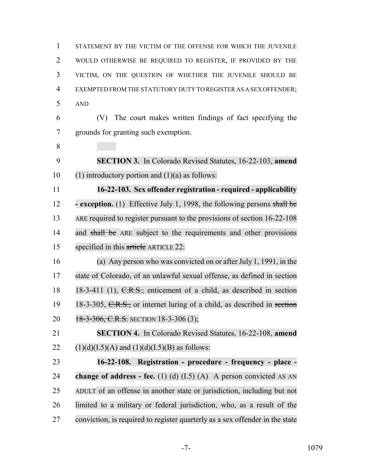STATEMENT BY THE VICTIM OF THE OFFENSE FOR WHICH THE JUVENILE WOULD OTHERWISE BE REQUIRED TO REGISTER, IF PROVIDED BY THE VICTIM, ON THE QUESTION OF WHETHER THE JUVENILE SHOULD BE EXEMPTED FROM THE STATUTORY DUTY TO REGISTER AS A SEX OFFENDER; AND (V) The court makes written findings of fact specifying the grounds for granting such exemption. **SECTION 3.** In Colorado Revised Statutes, 16-22-103, **amend** 10 (1) introductory portion and  $(1)(a)$  as follows: **16-22-103. Sex offender registration - required - applicability - exception.** (1) Effective July 1, 1998, the following persons shall be 13 ARE required to register pursuant to the provisions of section 16-22-108 14 and shall be ARE subject to the requirements and other provisions specified in this article ARTICLE 22: (a) Any person who was convicted on or after July 1, 1991, in the state of Colorado, of an unlawful sexual offense, as defined in section 18 18-3-411 (1), C.R.S., enticement of a child, as described in section 19 18-3-305, C.R.S., or internet luring of a child, as described in section 20 18-3-306, C.R.S. SECTION 18-3-306 (3); **SECTION 4.** In Colorado Revised Statutes, 16-22-108, **amend** 22 (1)(d)(I.5)(A) and (1)(d)(I.5)(B) as follows: **16-22-108. Registration - procedure - frequency - place - change of address - fee.** (1) (d) (I.5) (A) A person convicted AS AN ADULT of an offense in another state or jurisdiction, including but not limited to a military or federal jurisdiction, who, as a result of the conviction, is required to register quarterly as a sex offender in the state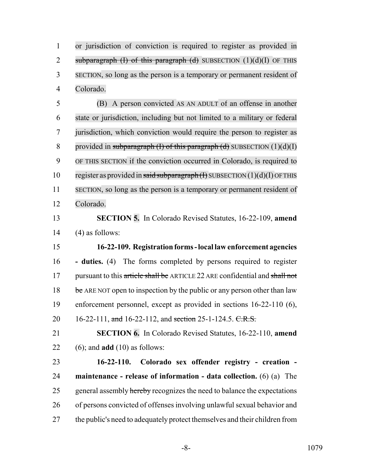or jurisdiction of conviction is required to register as provided in 2 subparagraph  $(I)$  of this paragraph  $(d)$  SUBSECTION  $(1)(d)(I)$  OF THIS SECTION, so long as the person is a temporary or permanent resident of Colorado.

 (B) A person convicted AS AN ADULT of an offense in another state or jurisdiction, including but not limited to a military or federal jurisdiction, which conviction would require the person to register as 8 provided in subparagraph  $(I)$  of this paragraph  $(d)$  SUBSECTION  $(1)(d)(I)$  OF THIS SECTION if the conviction occurred in Colorado, is required to 10 register as provided in said subparagraph  $(H)$  SUBSECTION  $(1)(d)(I)$  OF THIS SECTION, so long as the person is a temporary or permanent resident of Colorado.

 **SECTION 5.** In Colorado Revised Statutes, 16-22-109, **amend** (4) as follows:

 **16-22-109. Registration forms - local law enforcement agencies - duties.** (4) The forms completed by persons required to register 17 pursuant to this article shall be ARTICLE 22 ARE confidential and shall not 18 be ARE NOT open to inspection by the public or any person other than law enforcement personnel, except as provided in sections 16-22-110 (6), 20 16-22-111, and 16-22-112, and section 25-1-124.5. C.R.S.

 **SECTION 6.** In Colorado Revised Statutes, 16-22-110, **amend** (6); and **add** (10) as follows:

 **16-22-110. Colorado sex offender registry - creation - maintenance - release of information - data collection.** (6) (a) The 25 general assembly hereby recognizes the need to balance the expectations of persons convicted of offenses involving unlawful sexual behavior and the public's need to adequately protect themselves and their children from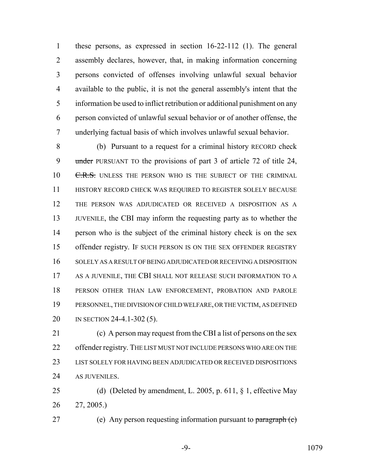these persons, as expressed in section 16-22-112 (1). The general assembly declares, however, that, in making information concerning persons convicted of offenses involving unlawful sexual behavior available to the public, it is not the general assembly's intent that the information be used to inflict retribution or additional punishment on any person convicted of unlawful sexual behavior or of another offense, the underlying factual basis of which involves unlawful sexual behavior.

 (b) Pursuant to a request for a criminal history RECORD check 9 under PURSUANT TO the provisions of part 3 of article 72 of title 24, 10 C.R.S. UNLESS THE PERSON WHO IS THE SUBJECT OF THE CRIMINAL HISTORY RECORD CHECK WAS REQUIRED TO REGISTER SOLELY BECAUSE THE PERSON WAS ADJUDICATED OR RECEIVED A DISPOSITION AS A JUVENILE, the CBI may inform the requesting party as to whether the person who is the subject of the criminal history check is on the sex offender registry. IF SUCH PERSON IS ON THE SEX OFFENDER REGISTRY SOLELY AS A RESULT OF BEING ADJUDICATED OR RECEIVING A DISPOSITION AS A JUVENILE, THE CBI SHALL NOT RELEASE SUCH INFORMATION TO A PERSON OTHER THAN LAW ENFORCEMENT, PROBATION AND PAROLE PERSONNEL, THE DIVISION OF CHILD WELFARE, OR THE VICTIM, AS DEFINED IN SECTION 24-4.1-302 (5).

 (c) A person may request from the CBI a list of persons on the sex 22 offender registry. THE LIST MUST NOT INCLUDE PERSONS WHO ARE ON THE LIST SOLELY FOR HAVING BEEN ADJUDICATED OR RECEIVED DISPOSITIONS AS JUVENILES.

 (d) (Deleted by amendment, L. 2005, p. 611, § 1, effective May 27, 2005.)

27 (e) Any person requesting information pursuant to paragraph (c)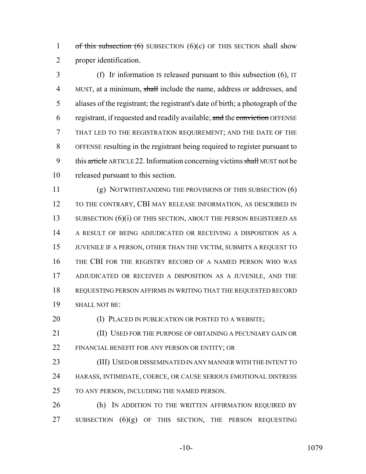1 of this subsection  $(6)$  SUBSECTION  $(6)(c)$  OF THIS SECTION shall show proper identification.

 (f) IF information IS released pursuant to this subsection (6), IT 4 MUST, at a minimum, shall include the name, address or addresses, and aliases of the registrant; the registrant's date of birth; a photograph of the 6 registrant, if requested and readily available; and the conviction OFFENSE THAT LED TO THE REGISTRATION REQUIREMENT; AND THE DATE OF THE OFFENSE resulting in the registrant being required to register pursuant to 9 this article ARTICLE 22. Information concerning victims shall MUST not be released pursuant to this section.

 (g) NOTWITHSTANDING THE PROVISIONS OF THIS SUBSECTION (6) TO THE CONTRARY, CBI MAY RELEASE INFORMATION, AS DESCRIBED IN 13 SUBSECTION (6)(i) OF THIS SECTION, ABOUT THE PERSON REGISTERED AS A RESULT OF BEING ADJUDICATED OR RECEIVING A DISPOSITION AS A JUVENILE IF A PERSON, OTHER THAN THE VICTIM, SUBMITS A REQUEST TO THE CBI FOR THE REGISTRY RECORD OF A NAMED PERSON WHO WAS ADJUDICATED OR RECEIVED A DISPOSITION AS A JUVENILE, AND THE REQUESTING PERSON AFFIRMS IN WRITING THAT THE REQUESTED RECORD SHALL NOT BE:

**(I) PLACED IN PUBLICATION OR POSTED TO A WEBSITE;** 

**(II) USED FOR THE PURPOSE OF OBTAINING A PECUNIARY GAIN OR** FINANCIAL BENEFIT FOR ANY PERSON OR ENTITY; OR

 (III) USED OR DISSEMINATED IN ANY MANNER WITH THE INTENT TO HARASS, INTIMIDATE, COERCE, OR CAUSE SERIOUS EMOTIONAL DISTRESS TO ANY PERSON, INCLUDING THE NAMED PERSON.

26 (h) IN ADDITION TO THE WRITTEN AFFIRMATION REQUIRED BY 27 SUBSECTION (6)(g) OF THIS SECTION, THE PERSON REQUESTING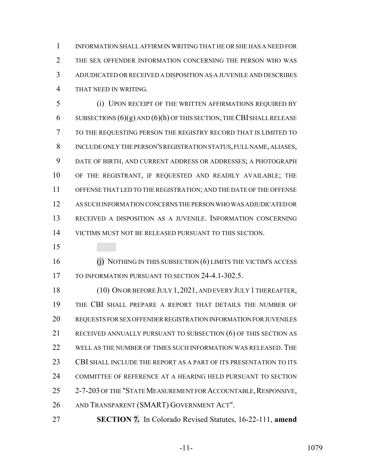INFORMATION SHALL AFFIRM IN WRITING THAT HE OR SHE HAS A NEED FOR THE SEX OFFENDER INFORMATION CONCERNING THE PERSON WHO WAS ADJUDICATED OR RECEIVED A DISPOSITION AS A JUVENILE AND DESCRIBES THAT NEED IN WRITING.

 (i) UPON RECEIPT OF THE WRITTEN AFFIRMATIONS REQUIRED BY 6 SUBSECTIONS  $(6)(g)$  AND  $(6)(h)$  OF THIS SECTION, THE CBI SHALL RELEASE TO THE REQUESTING PERSON THE REGISTRY RECORD THAT IS LIMITED TO INCLUDE ONLY THE PERSON'S REGISTRATION STATUS, FULL NAME, ALIASES, DATE OF BIRTH, AND CURRENT ADDRESS OR ADDRESSES; A PHOTOGRAPH OF THE REGISTRANT, IF REQUESTED AND READILY AVAILABLE; THE OFFENSE THAT LED TO THE REGISTRATION; AND THE DATE OF THE OFFENSE AS SUCH INFORMATION CONCERNS THE PERSON WHO WAS ADJUDICATED OR RECEIVED A DISPOSITION AS A JUVENILE. INFORMATION CONCERNING VICTIMS MUST NOT BE RELEASED PURSUANT TO THIS SECTION.

 (j) NOTHING IN THIS SUBSECTION (6) LIMITS THE VICTIM'S ACCESS 17 TO INFORMATION PURSUANT TO SECTION 24-4.1-302.5.

 (10) ON OR BEFORE JULY 1,2021, AND EVERY JULY 1 THEREAFTER, THE CBI SHALL PREPARE A REPORT THAT DETAILS THE NUMBER OF REQUESTS FOR SEX OFFENDER REGISTRATION INFORMATION FOR JUVENILES RECEIVED ANNUALLY PURSUANT TO SUBSECTION (6) OF THIS SECTION AS WELL AS THE NUMBER OF TIMES SUCH INFORMATION WAS RELEASED. THE CBI SHALL INCLUDE THE REPORT AS A PART OF ITS PRESENTATION TO ITS COMMITTEE OF REFERENCE AT A HEARING HELD PURSUANT TO SECTION 25 2-7-203 OF THE "STATE MEASUREMENT FOR ACCOUNTABLE, RESPONSIVE, AND TRANSPARENT (SMART) GOVERNMENT ACT".

**SECTION 7.** In Colorado Revised Statutes, 16-22-111, **amend**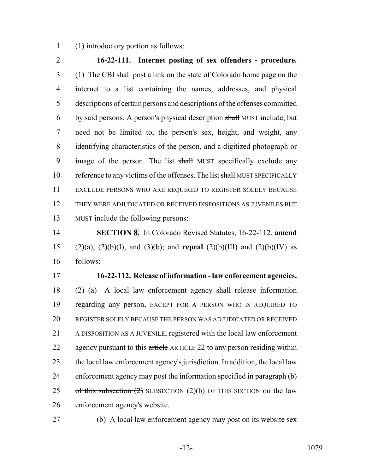(1) introductory portion as follows:

 **16-22-111. Internet posting of sex offenders - procedure.** (1) The CBI shall post a link on the state of Colorado home page on the internet to a list containing the names, addresses, and physical descriptions of certain persons and descriptions of the offenses committed 6 by said persons. A person's physical description shall MUST include, but need not be limited to, the person's sex, height, and weight, any identifying characteristics of the person, and a digitized photograph or 9 image of the person. The list shall MUST specifically exclude any 10 reference to any victims of the offenses. The list shall MUST SPECIFICALLY EXCLUDE PERSONS WHO ARE REQUIRED TO REGISTER SOLELY BECAUSE THEY WERE ADJUDICATED OR RECEIVED DISPOSITIONS AS JUVENILES BUT MUST include the following persons:

 **SECTION 8.** In Colorado Revised Statutes, 16-22-112, **amend** (2)(a), (2)(b)(I), and (3)(b); and **repeal** (2)(b)(III) and (2)(b)(IV) as follows:

 **16-22-112. Release of information - law enforcement agencies.** (2) (a) A local law enforcement agency shall release information regarding any person, EXCEPT FOR A PERSON WHO IS REQUIRED TO REGISTER SOLELY BECAUSE THE PERSON WAS ADJUDICATED OR RECEIVED A DISPOSITION AS A JUVENILE, registered with the local law enforcement 22 agency pursuant to this article ARTICLE 22 to any person residing within the local law enforcement agency's jurisdiction. In addition, the local law 24 enforcement agency may post the information specified in paragraph (b) 25 of this subsection  $(2)$  SUBSECTION  $(2)(b)$  OF THIS SECTION on the law enforcement agency's website.

(b) A local law enforcement agency may post on its website sex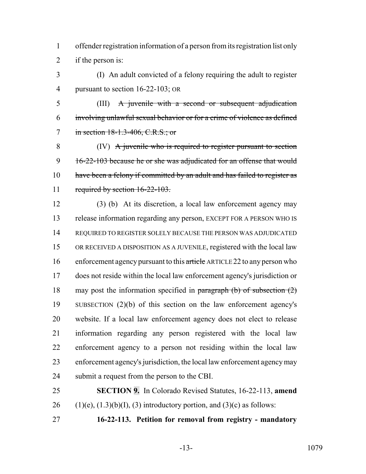offender registration information of a person from its registration list only if the person is:

 (I) An adult convicted of a felony requiring the adult to register pursuant to section 16-22-103; OR

 (III) A juvenile with a second or subsequent adjudication involving unlawful sexual behavior or for a crime of violence as defined 7 in section 18-1.3-406, C.R.S.; or

 (IV) A juvenile who is required to register pursuant to section 9 16-22-103 because he or she was adjudicated for an offense that would 10 have been a felony if committed by an adult and has failed to register as required by section 16-22-103.

 (3) (b) At its discretion, a local law enforcement agency may release information regarding any person, EXCEPT FOR A PERSON WHO IS REQUIRED TO REGISTER SOLELY BECAUSE THE PERSON WAS ADJUDICATED OR RECEIVED A DISPOSITION AS A JUVENILE, registered with the local law 16 enforcement agency pursuant to this article ARTICLE 22 to any person who does not reside within the local law enforcement agency's jurisdiction or may post the information specified in paragraph (b) of subsection (2) SUBSECTION (2)(b) of this section on the law enforcement agency's website. If a local law enforcement agency does not elect to release information regarding any person registered with the local law enforcement agency to a person not residing within the local law enforcement agency's jurisdiction, the local law enforcement agency may submit a request from the person to the CBI.

 **SECTION 9.** In Colorado Revised Statutes, 16-22-113, **amend** 26 (1)(e),  $(1.3)(b)(I)$ ,  $(3)$  introductory portion, and  $(3)(c)$  as follows:

**16-22-113. Petition for removal from registry - mandatory**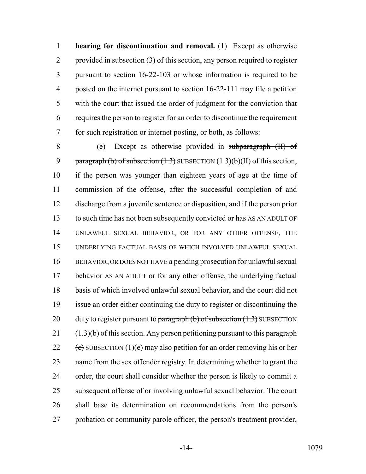**hearing for discontinuation and removal.** (1) Except as otherwise provided in subsection (3) of this section, any person required to register pursuant to section 16-22-103 or whose information is required to be posted on the internet pursuant to section 16-22-111 may file a petition with the court that issued the order of judgment for the conviction that requires the person to register for an order to discontinue the requirement for such registration or internet posting, or both, as follows:

 (e) Except as otherwise provided in subparagraph (II) of 9 paragraph (b) of subsection  $(1.3)$  SUBSECTION  $(1.3)(b)(II)$  of this section, if the person was younger than eighteen years of age at the time of commission of the offense, after the successful completion of and discharge from a juvenile sentence or disposition, and if the person prior 13 to such time has not been subsequently convicted or has AS AN ADULT OF UNLAWFUL SEXUAL BEHAVIOR, OR FOR ANY OTHER OFFENSE, THE UNDERLYING FACTUAL BASIS OF WHICH INVOLVED UNLAWFUL SEXUAL BEHAVIOR, OR DOES NOT HAVE a pending prosecution for unlawful sexual behavior AS AN ADULT or for any other offense, the underlying factual basis of which involved unlawful sexual behavior, and the court did not issue an order either continuing the duty to register or discontinuing the 20 duty to register pursuant to paragraph  $(b)$  of subsection  $(1.3)$  SUBSECTION  $(1.3)(b)$  of this section. Any person petitioning pursuant to this paragraph 22 (e) SUBSECTION (1)(e) may also petition for an order removing his or her name from the sex offender registry. In determining whether to grant the order, the court shall consider whether the person is likely to commit a subsequent offense of or involving unlawful sexual behavior. The court shall base its determination on recommendations from the person's probation or community parole officer, the person's treatment provider,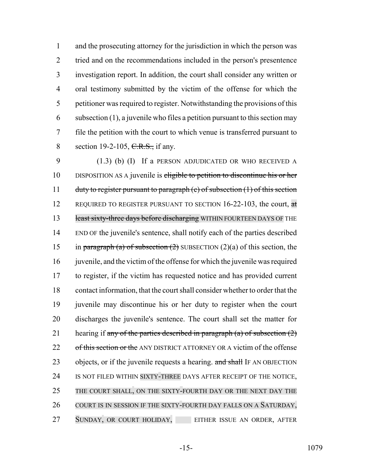and the prosecuting attorney for the jurisdiction in which the person was tried and on the recommendations included in the person's presentence investigation report. In addition, the court shall consider any written or oral testimony submitted by the victim of the offense for which the petitioner was required to register. Notwithstanding the provisions of this subsection (1), a juvenile who files a petition pursuant to this section may file the petition with the court to which venue is transferred pursuant to 8 section 19-2-105, C.R.S., if any.

9 (1.3) (b) (I) If a PERSON ADJUDICATED OR WHO RECEIVED A 10 DISPOSITION AS A juvenile is eligible to petition to discontinue his or her 11 duty to register pursuant to paragraph (e) of subsection (1) of this section 12 REQUIRED TO REGISTER PURSUANT TO SECTION 16-22-103, the court, at 13 least sixty-three days before discharging WITHIN FOURTEEN DAYS OF THE 14 END OF the juvenile's sentence, shall notify each of the parties described 15 in paragraph (a) of subsection (2) SUBSECTION (2)(a) of this section, the 16 juvenile, and the victim of the offense for which the juvenile was required 17 to register, if the victim has requested notice and has provided current 18 contact information, that the court shall consider whether to order that the 19 juvenile may discontinue his or her duty to register when the court 20 discharges the juvenile's sentence. The court shall set the matter for 21 hearing if any of the parties described in paragraph (a) of subsection  $(2)$ 22 of this section or the ANY DISTRICT ATTORNEY OR A victim of the offense 23 objects, or if the juvenile requests a hearing. and shall IF AN OBJECTION 24 IS NOT FILED WITHIN SIXTY-THREE DAYS AFTER RECEIPT OF THE NOTICE, 25 THE COURT SHALL, ON THE SIXTY-FOURTH DAY OR THE NEXT DAY THE 26 COURT IS IN SESSION IF THE SIXTY-FOURTH DAY FALLS ON A SATURDAY, 27 SUNDAY, OR COURT HOLIDAY, EITHER ISSUE AN ORDER, AFTER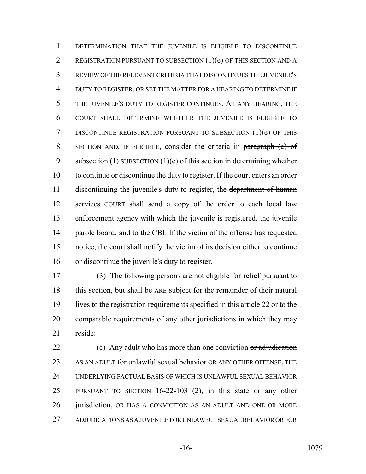DETERMINATION THAT THE JUVENILE IS ELIGIBLE TO DISCONTINUE REGISTRATION PURSUANT TO SUBSECTION (1)(e) OF THIS SECTION AND A REVIEW OF THE RELEVANT CRITERIA THAT DISCONTINUES THE JUVENILE'S DUTY TO REGISTER, OR SET THE MATTER FOR A HEARING TO DETERMINE IF THE JUVENILE'S DUTY TO REGISTER CONTINUES. AT ANY HEARING, THE COURT SHALL DETERMINE WHETHER THE JUVENILE IS ELIGIBLE TO DISCONTINUE REGISTRATION PURSUANT TO SUBSECTION (1)(e) OF THIS SECTION AND, IF ELIGIBLE, consider the criteria in paragraph (e) of 9 subsection  $(1)$  SUBSECTION  $(1)(e)$  of this section in determining whether to continue or discontinue the duty to register. If the court enters an order 11 discontinuing the juvenile's duty to register, the department of human 12 services COURT shall send a copy of the order to each local law enforcement agency with which the juvenile is registered, the juvenile parole board, and to the CBI. If the victim of the offense has requested notice, the court shall notify the victim of its decision either to continue or discontinue the juvenile's duty to register.

 (3) The following persons are not eligible for relief pursuant to 18 this section, but shall be ARE subject for the remainder of their natural lives to the registration requirements specified in this article 22 or to the comparable requirements of any other jurisdictions in which they may reside:

22 (c) Any adult who has more than one conviction or adjudication AS AN ADULT for unlawful sexual behavior OR ANY OTHER OFFENSE, THE UNDERLYING FACTUAL BASIS OF WHICH IS UNLAWFUL SEXUAL BEHAVIOR PURSUANT TO SECTION 16-22-103 (2), in this state or any other 26 jurisdiction, OR HAS A CONVICTION AS AN ADULT AND ONE OR MORE ADJUDICATIONS AS A JUVENILE FOR UNLAWFUL SEXUAL BEHAVIOR OR FOR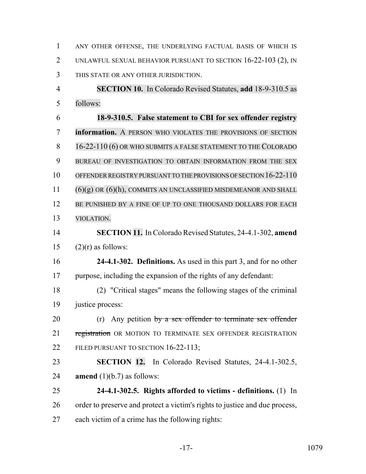| $\mathbf{1}$   | ANY OTHER OFFENSE, THE UNDERLYING FACTUAL BASIS OF WHICH IS                 |
|----------------|-----------------------------------------------------------------------------|
| 2              | UNLAWFUL SEXUAL BEHAVIOR PURSUANT TO SECTION 16-22-103 (2), IN              |
| 3              | THIS STATE OR ANY OTHER JURISDICTION.                                       |
| $\overline{4}$ | <b>SECTION 10.</b> In Colorado Revised Statutes, add 18-9-310.5 as          |
| 5              | follows:                                                                    |
| 6              | 18-9-310.5. False statement to CBI for sex offender registry                |
| 7              | information. A PERSON WHO VIOLATES THE PROVISIONS OF SECTION                |
| 8              | 16-22-110 (6) OR WHO SUBMITS A FALSE STATEMENT TO THE COLORADO              |
| 9              | BUREAU OF INVESTIGATION TO OBTAIN INFORMATION FROM THE SEX                  |
| 10             | OFFENDER REGISTRY PURSUANT TO THE PROVISIONS OF SECTION 16-22-110           |
| 11             | $(6)(g)$ OR $(6)(h)$ , COMMITS AN UNCLASSIFIED MISDEMEANOR AND SHALL        |
| 12             | BE PUNISHED BY A FINE OF UP TO ONE THOUSAND DOLLARS FOR EACH                |
| 13             | VIOLATION.                                                                  |
| 14             | SECTION 11. In Colorado Revised Statutes, 24-4.1-302, amend                 |
| 15             | $(2)(r)$ as follows:                                                        |
| 16             | 24-4.1-302. Definitions. As used in this part 3, and for no other           |
| 17             | purpose, including the expansion of the rights of any defendant:            |
| 18             | (2) "Critical stages" means the following stages of the criminal            |
| 19             | justice process:                                                            |
| 20             | (r) Any petition $by$ a sex offender to terminate sex offender              |
| 21             | registration OR MOTION TO TERMINATE SEX OFFENDER REGISTRATION               |
| 22             | FILED PURSUANT TO SECTION 16-22-113;                                        |
| 23             | SECTION 12. In Colorado Revised Statutes, 24-4.1-302.5,                     |
| 24             | <b>amend</b> $(1)(b.7)$ as follows:                                         |
| 25             | 24-4.1-302.5. Rights afforded to victims - definitions. (1) In              |
| 26             | order to preserve and protect a victim's rights to justice and due process, |
| 27             | each victim of a crime has the following rights:                            |